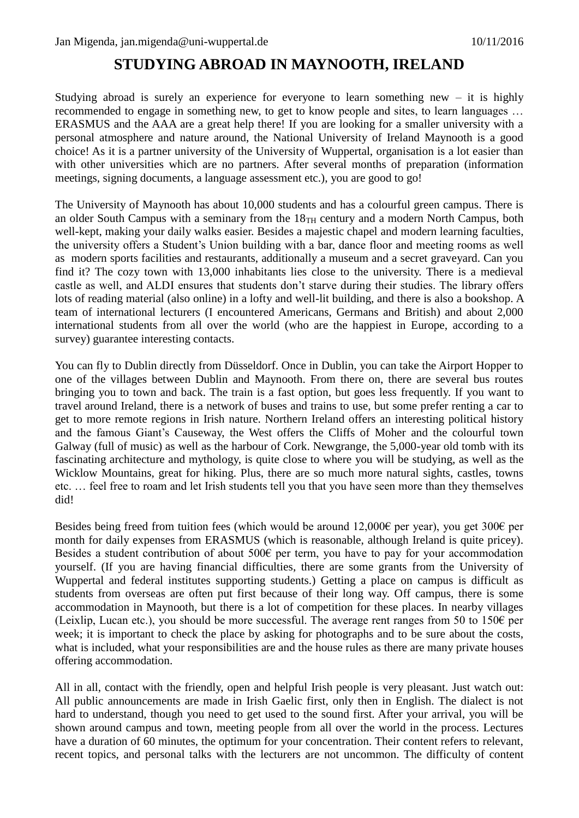## **STUDYING ABROAD IN MAYNOOTH, IRELAND**

Studying abroad is surely an experience for everyone to learn something new  $-$  it is highly recommended to engage in something new, to get to know people and sites, to learn languages … ERASMUS and the AAA are a great help there! If you are looking for a smaller university with a personal atmosphere and nature around, the National University of Ireland Maynooth is a good choice! As it is a partner university of the University of Wuppertal, organisation is a lot easier than with other universities which are no partners. After several months of preparation (information meetings, signing documents, a language assessment etc.), you are good to go!

The University of Maynooth has about 10,000 students and has a colourful green campus. There is an older South Campus with a seminary from the  $18<sub>TH</sub>$  century and a modern North Campus, both well-kept, making your daily walks easier. Besides a majestic chapel and modern learning faculties, the university offers a Student's Union building with a bar, dance floor and meeting rooms as well as modern sports facilities and restaurants, additionally a museum and a secret graveyard. Can you find it? The cozy town with 13,000 inhabitants lies close to the university. There is a medieval castle as well, and ALDI ensures that students don't starve during their studies. The library offers lots of reading material (also online) in a lofty and well-lit building, and there is also a bookshop. A team of international lecturers (I encountered Americans, Germans and British) and about 2,000 international students from all over the world (who are the happiest in Europe, according to a survey) guarantee interesting contacts.

You can fly to Dublin directly from Düsseldorf. Once in Dublin, you can take the Airport Hopper to one of the villages between Dublin and Maynooth. From there on, there are several bus routes bringing you to town and back. The train is a fast option, but goes less frequently. If you want to travel around Ireland, there is a network of buses and trains to use, but some prefer renting a car to get to more remote regions in Irish nature. Northern Ireland offers an interesting political history and the famous Giant's Causeway, the West offers the Cliffs of Moher and the colourful town Galway (full of music) as well as the harbour of Cork. Newgrange, the 5,000-year old tomb with its fascinating architecture and mythology, is quite close to where you will be studying, as well as the Wicklow Mountains, great for hiking. Plus, there are so much more natural sights, castles, towns etc. … feel free to roam and let Irish students tell you that you have seen more than they themselves did!

Besides being freed from tuition fees (which would be around 12,000€ per year), you get 300€ per month for daily expenses from ERASMUS (which is reasonable, although Ireland is quite pricey). Besides a student contribution of about 500€ per term, you have to pay for your accommodation yourself. (If you are having financial difficulties, there are some grants from the University of Wuppertal and federal institutes supporting students.) Getting a place on campus is difficult as students from overseas are often put first because of their long way. Off campus, there is some accommodation in Maynooth, but there is a lot of competition for these places. In nearby villages (Leixlip, Lucan etc.), you should be more successful. The average rent ranges from 50 to 150 $\epsilon$  per week; it is important to check the place by asking for photographs and to be sure about the costs, what is included, what your responsibilities are and the house rules as there are many private houses offering accommodation.

All in all, contact with the friendly, open and helpful Irish people is very pleasant. Just watch out: All public announcements are made in Irish Gaelic first, only then in English. The dialect is not hard to understand, though you need to get used to the sound first. After your arrival, you will be shown around campus and town, meeting people from all over the world in the process. Lectures have a duration of 60 minutes, the optimum for your concentration. Their content refers to relevant, recent topics, and personal talks with the lecturers are not uncommon. The difficulty of content